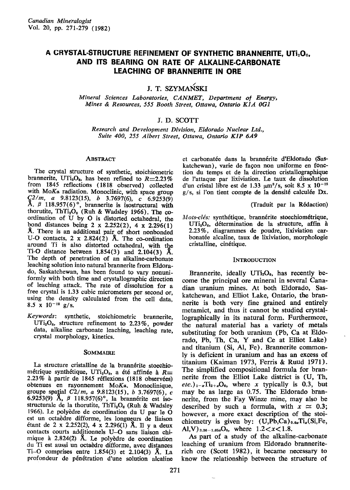# A CRYSTAL-STRUCTURE REFINEMENT OF SYNTHETIC BRANNERITE, UTI2O6, AND ITS BEARING ON RATE OF ALKALINE.CARBONATE **LEACHING OF BRANNERITE IN ORE**

J. T. SZYMAŃSKI

Mineral Sciences Laboratories, CANMET, Department of Energy, Mines & Resources, 555 Booth Street, Ottawa, Ontario KlA OGI

## J. D. SCOTT

Research and Development Division, Eldorado Nuclear Ltd., Suite 400, 255 Albert Street, Ottawa, Ontario KlP 6A9

#### **ABSTRACT**

The crystal structure of synthetic, stoichiometric brannerite, UTi<sub>2</sub>O<sub>6</sub>, has been refined to  $R=2.23\%$ from 1845 reflections (1818 observed) collected with MoKa radiation. Monoclinic, with space group  $C^{2/m}$ , a 9.8123(15), b 3.7697(6), c 6.9253(9)<br>A,  $\beta$  118.957(6)°, brannerite is isostructural with thorutite, ThTi<sub>2</sub>O<sub>6</sub> (Ruh & Wadsley 1966). The coordination of U by O is distorted octahedral, the bond distances being 2 x 2.252(2), 4 x 2.296(1) A. There is an additional pair of short nonbonded U-O contacts,  $2 \times 2.824(2)$  A. The co-ordination around Ti is also distorted octahedral. with the Ti-O distance between  $1.854(3)$  and  $2.104(3)$  Å. The depth of penetration of an alkaline-carbonate leaching solution into natural brannerite from Eldorado, Saskatchewan, has been found to vary nonuniformly with both time and crystallographic direction of leaching attack. The rate of dissolution for a free crystal is 1.33 cubic micrometers per second or, using the density calculated from the cell data. 8.5 x  $10^{-12}$  g/s.

Keywords: synthetic, stoichiometric brannerite.  $UTi<sub>2</sub>O<sub>6</sub>$ , structure refinement to 2.23%, powder data, alkaline carbonate leaching, leaching rate, crystal morphology, kinetics.

#### SOMMAIRE

La structure cristalline de la brannérite stoechiométrique synthétique, UTi<sub>2</sub>O<sub>6</sub>, a été affinée à  $R=$ 2.23% à partir de 1845 réflexions (1818 observées) obtenues en rayonnement MoKa. Monoclinique groupe spatial  $C2/m$ , a 9.8123(15), b 3.7697(6), c 6.9253(9) A,  $\beta$  118.957(6)<sup>o</sup>, la brannérite est isostructurale de la thorutite, Th $\mathrm{Ti}_2\mathrm{O}_6$  (Ruh & Wadsley 1966). Le polyddre de coordination du U par le O est un octaèdre difforme, les longueurs de liaison étant de 2 x 2.252(2), 4 x 2.296(1) Å. Il y a deux contacts courts additionnels U-O sans liaison chi. mique à  $2.824(2)$  Å. Le polyèdre de coordination du Ti est aussi un octaèdre difforme, avec distances Ti-O comprises entre  $1.854(3)$  et  $2.104(3)$  Å. La profondeur de p6n6tration d'une solution alcaline

et carbonatée dans la brannérite d'Eldorado (Saskatchewan), varie de fagon non uniforme en fonction du temps et de la direction cristallographique de l'attaque par lixiviation, Le taux de dissolution d'un cristal libre est de 1.33  $\mu$ m<sup>3</sup>/s, soit 8.5 x 10<sup>-12</sup> g/s, si l'on tient compte de la densité calculée Dx.

(Iraduit par la R6daction)

Mots-clés: synthétique, brannérite stoechiométrique,  $UTi<sub>2</sub>O<sub>6</sub>$ , détermination de la structure, affin à 2.23%, diagrammes de poudre, lixiviation carbonatée alcaline, taux de lixiviation, morphologie cristalline, cin6tique.

#### **INTRODUCTION**

Brannerite, ideally  $UTi<sub>2</sub>O<sub>6</sub>$ , has recently become the principal ore mineral in several Canadian uranium mines. At both Eldorado, Saskatchewan, and Elliot Lake, Ontario, the brannerite is both very fine grained and entirely metamict, and thus it cannot be studied crystallographically in its natural form. Furthermore, the natural material has a variety of metals substituting for both uranium (Pb, Ca at Eldorado, Pb, Th, Ca, Y and Ce at Elliot Lake) and titanium (Si, Al, Fe). Brannerite commonly is deficient in uranium and has an excess of titanium (Kaiman 1973, Ferris & Ruud 1971). The simplified compositional formula for brannerite from the Elliot Lake district is (U, Th,  $etc.)_{1-x}$ Ti<sub>2+z</sub>O<sub>6</sub>, where x typically is 0.3, but may be as large as 0.75. The Eldorado brannerite, from the Fay Winze mine, may also be described by such a formula, with  $x \approx 0.3$ ; however, a more exact description of the stoichiometry is given by:  $(U,Pb,Ca)_{0.6x}Ti_x(Si,Fe,$ Al,V)  $_{3.36-1.65x}O_6$ , where  $1.2 < x < 1.8$ .

As part of a study of the alkaline-carbonate leaching of uranium from Eldorado branneriterich ore (Scott 1982), it became necessary to know the relationship between the structure of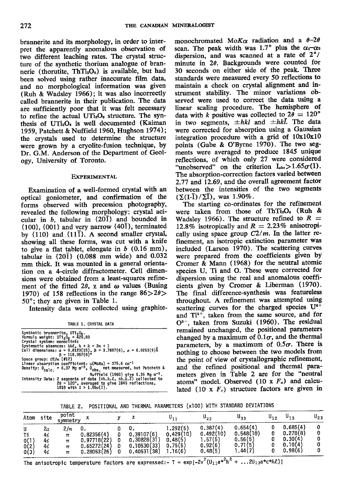brannerite and its morphology, in order to interpret the apparently anomalous observation of two different leaching rates. The crystal structure of the synthetic thorium analogue of brannerie (thorutite,  $ThTi<sub>2</sub>O<sub>6</sub>$ ) is available, but had been solved using rather inaccurate film data, and no morphological information was given (Ruh & Wadsley 1966); it was also incorrectly called brannerite in their publication. The data are sufficiently poor that it was felt necessary to refine the actual  $UTi<sub>2</sub>O<sub>6</sub>$  structure. The synthesis of  $UTi<sub>2</sub>O<sub>6</sub>$  is well documented (Kaiman 1959, Patchett & Nuffield 1960, Hughson 1974); the crystals used to determine the structure were grown by a cryolite-fusion technique, by Dr. G.M. Anderson of the Department of Geology, IJniversity of Toronto.

#### EXPERIMENTAL

Examination of a well-formed crystal with an optical goniometer, and confirmation of the forms observed with precession photography, revealed the following morphology: crystal aci' cular in  $b$ , tabular in  ${20\overline{1}}$  and bounded in  ${100}$ ,  ${001}$  and very narrow  ${40\overline{1}}$ , terminated by  $\{110\}$  and  $\{11\overline{1}\}$ . A second smaller crystal, showing all these forms, was cut with a knife to give a flat tablet, elongate in  $b(0.16 \text{ mm})$ , tabular in  $\{20\bar{1}\}$  (0.088 mm wide) and 0.032 mm thick. It was mounted in a general orientation on a 4-circle diffractometer. Cell dimensions were obtained from a least-squares refinement of the fitted 2 $\theta$ ,  $\chi$  and  $\omega$  values (Busing 1970) of 158 reflections in the range  $86 > 20$  $50^\circ$ ; they are given in Table 1.

Intensity data were collected using graphite-

TABLE I. CRYSTAL DATA

| Synthetic brannerite. UTi, O <sub>c</sub> .                                                                                                                                         |
|-------------------------------------------------------------------------------------------------------------------------------------------------------------------------------------|
| Formula weight: $UTi206 = 429.83$                                                                                                                                                   |
| Crystal system: monoclinic                                                                                                                                                          |
| Systematic absences: $h k \ell$ , $h + k = 2n + 1$                                                                                                                                  |
| Cell dimensions: $\alpha = 9.8123(15)$ , $b = 3.7697(6)$ , $\sigma = 6.9253(9)$ Å                                                                                                   |
| $B = 118.957(6)$ <sup>o</sup>                                                                                                                                                       |
| Space group: $C2/m$ (#12)                                                                                                                                                           |
| Linear absorption coefficient: $\mu$ (Mo <i>K</i> $\alpha$ ) = 375.6 cm <sup>-1</sup>                                                                                               |
| Density: $D_{\text{calc.}} = 6.37$ Mg m <sup>-3</sup> , $D_{\text{obs.}}$ not measured, but Patchett &                                                                              |
| Nuffield (1960) give 5.35 Mg m <sup>-3</sup> .                                                                                                                                      |
| Intensity Data: 2 segments of data $(\pm h, k, \ell, \pm h, k, \ell)$ collected to<br>$2\theta = 120^\circ$ , averaged to give 1845 reflections,<br>1818 with $I > 1.65\sigma(I)$ . |
|                                                                                                                                                                                     |

monochromated Mo $K_{\alpha}$  radiation and a  $\theta$ -2 $\theta$ scan. The peak width was 1.7° plus the  $\alpha_1-\alpha_2$ dispersion, and was scanned at a rate of  $2^{\circ}$ / minute in  $2\theta$ . Backgrounds were counted for 3O seconds on either side of the peak Three standards \ryere measured every 5O reflections to maintain a check on crystal alignment and instrument stability. The minor variations obseryed were used to correct the data using a linear scaling procedure. The hemisphere of data with k positive was collected to  $2\theta = 120^{\circ}$ in two segments,  $\pm hkl$  and  $\pm hk\overline{l}$ . The data were corrected for absorption using a Gaussian integration procedure with a grid of  $10x10x10$ points (Gabe & O'Byrne 1970). The two segments were averaged to produce 1845 unique reflections, of which only 27 were considered "unobserved" on the criterion  $I_{obs} > 1.65\sigma(I)$ . The absorption-correction factors varied between 2.77 and 12.69, and the overall agreement factor between the intensities of the two segments  $(\Sigma(I-I)/\Sigma\overline{I})$ , was 1.90%.

The starting co-ordinates for the refinement were taken from those of ThTi<sub>2</sub>O<sub>6</sub> (Ruh & Wadsley 1966). The structure refined to  $R =$ 12.8% isotropically and  $R = 2.23\%$  anisotropically using space group  $C2/m$ . In the latter refinement, an isotropic extinction parameter was included (Larson 1970). The scattering curves were prepared from the coefficients given by Cromer & Mann (1968) for the neutral atomis species U, Ti and O. These were corrected for dispersion using the real and anomalous coefficients given by Cromer & Liberman (1970). The final difference-synthesis was featureless throughout. A refinement was attempted using scattering curves for the charged species  $U^{4+}$ and  $Ti^{4+}$ , taken from the same source, and for  $O^{2-}$ , taken from Suzuki (1960). The residual remained unchanged, the positional parameters changed by a maximum of  $0.1\sigma$ , and the thermal parameters, by a maximum of  $0.5\sigma$ . There is notling to choose between the two models from the point of view of crystallographic refinement, and the refined positional and thermal parameters given in Table 2 are for the "neutral atoms" model. Observed  $(10 \times F_o)$  and calculated (10 x  $F_c$ ) structure factors are given in

TABLE 2. POSITIONAL AND THERMAL PARAMETERS (x100) WITH STANDARD DEVIATIONS

| Atom                 | site                       | point<br>symmetry       |                                                         |                                                         |                                                        | u <sub>22</sub>                                        | ບາງ                                                    | $\mathsf{u}_{12}$ |                                                       | $\mathsf{u}_{23}$ |
|----------------------|----------------------------|-------------------------|---------------------------------------------------------|---------------------------------------------------------|--------------------------------------------------------|--------------------------------------------------------|--------------------------------------------------------|-------------------|-------------------------------------------------------|-------------------|
| 0(1)<br>0(2)<br>0(3) | 2α<br>4i<br>42<br>4i<br>41 | 2/m<br>m<br>m<br>m<br>m | 0.82356(4)<br>0.97718(22)<br>0.65272(24)<br>0.28053(26) | 0.39107(6)<br>0.30828(31)<br>0.10530(33)<br>0.40531(38) | 1.292(5)<br>0.429(10)<br>0.48(5)<br>0.75(5)<br>1.16(6) | 0,387(4)<br>0.492(10)<br>1.57(5)<br>0.92(6)<br>0.48(5) | 0.654(4)<br>0.548(10)<br>0.56(5)<br>0.71(5)<br>1.44(7) |                   | 0.685(4)<br>0.278(8)<br>0.30(4)<br>0.10(4)<br>0.98(6) |                   |

The anisotropic temperature factors are expressed:  $T = \exp[-2\pi^2(U_{11}a^{*2}h^2 + ... 2U_{13}a^{*}c^{*}h\ell)]$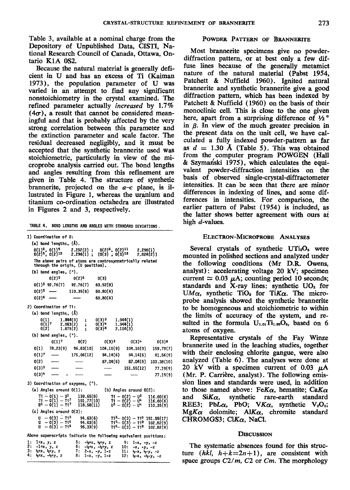Table 3, available at a nominal charge from the Depository of Unpublished Data, CISTI, National Research Council of Canada, Ottawa, Ontario K1A 0S2.

Because the natural material is generally deficient in U and has an excess of Ti (Kaiman 1973), the population parameter of U was varied in an attempt to find any significant nonstoichiometry in the crystal examined. The refined parameter actually *increased* by 1.7%  $(4\sigma)$ , a result that cannot be considered meaningful and that is probably affected by the very strong correlation between this parameter and the extinction parameter and scale factor. The residual decreased negligibly, and it must be accepted that the synthetic brannerite used was stoichiometric, particularly in view of the microprobe analysis carried out. The bond lengths and angles resulting from this refinement are given in Table 4. The structure of synthetic brannerite, projected on the  $a-c$  plane, is illustrated in Figure l, whereas the uranium and titanium co-ordination octahedra are illustrated in Figures 2 and 3, respectively.

TABLE 4. BOND LENGTHS AND ANGLES WITH STANDARD DEVIATIONS.

| 1) Coordination of U:<br>(a) bond lengths, (Å).                        |                                                  |                                               |                                                                 |                        |
|------------------------------------------------------------------------|--------------------------------------------------|-----------------------------------------------|-----------------------------------------------------------------|------------------------|
| $0(1)^2$ , $0(1)^9$<br>$0(2)^5$ , $0(2)^{12}$                          | $2.252(2)$ ; $0(2)^6$ , $0(2)^{11}$<br>2.296(1); | $10(3)$ $. 0(3)$ <sup>10</sup>                | 2.296(1)<br>$2.824(2)$ ]                                        |                        |
| The above pairs of atoms are centrosymmetrically related               |                                                  |                                               |                                                                 |                        |
| through the origin, (U position).                                      |                                                  |                                               |                                                                 |                        |
| $(b)$ bond angles, $(°)$ .                                             |                                                  |                                               |                                                                 |                        |
| 0(2)5                                                                  | 0(2)6                                            | 0(3)                                          |                                                                 |                        |
| $0(1)^2$ 92.76(7)                                                      | 92,76(7)                                         | 63,52(8)                                      |                                                                 |                        |
| $0(2)^5$ —                                                             | 110.35(6)                                        | 60.80(4)                                      |                                                                 |                        |
| $0(2)$ <sup>6</sup>                                                    |                                                  | 60.80(4)                                      |                                                                 |                        |
| 2) Coordination of Ti:                                                 |                                                  |                                               |                                                                 |                        |
| (a) bond lengths, $(\tilde{A})$                                        |                                                  |                                               |                                                                 |                        |
| 0(1)<br>1.854(3)<br>0(1)7<br>2.053(2)                                  | ï.                                               | $0(3)^3$<br>$0(3)^{4}$                        | 1.944(1)<br>1.944(1)                                            |                        |
| 0(2)<br>1.875(2)                                                       | ţ.<br>$\ddot{\phantom{a}}$                       | $0(3)^8$                                      | 2.104(3)                                                        |                        |
| (b) bond angles, (°).                                                  |                                                  |                                               |                                                                 |                        |
| 0(1)7                                                                  | 0(2)                                             | 0(3)3                                         | $0(3)^n$                                                        | $0(3)$ <sup>8</sup>    |
| O(1)<br>78,23(9) 96.83(10)                                             |                                                  | 104.16(9)                                     | 104.16(9)                                                       | 159.79(7)              |
| $0(1)^{7}$                                                             | 175.06(12)                                       | 94.14(6)                                      | 94.14(6)                                                        | 81.56(9)               |
| 0(2)                                                                   |                                                  | 87.04(6)                                      | 87.04(6)                                                        | 103.38(10)             |
| $0(3)$ <sup>3</sup>                                                    |                                                  |                                               | 151.55(12)                                                      | 77.19(9)               |
| $0(3)^4$<br>ģ,                                                         |                                                  |                                               |                                                                 | 77.19(9)               |
| 3) Coordination of oxygens, (°).                                       |                                                  |                                               |                                                                 |                        |
| (a) Angles around $0(1)$ :                                             |                                                  |                                               | $(b)$ Angles around $0(2)$ :                                    |                        |
|                                                                        | 139.65(8)                                        |                                               | $T_1^* - 0(2) - 0^3$                                            | 116.60(6)              |
| $T_1^4 = 0(1) - U^1$<br>$T_1^4 = 0(1) - T_1^7$<br>$U^1 = 0(1) - T_1^7$ | 101.77(10)<br>118.58(11)                         |                                               | $T1 - 0(2) - 0^4$<br>$U^3 - O(2) - U^4$                         | 116,60(6)<br>110.35(9) |
| $(c)$ Angles around $0(3)$ :                                           |                                                  |                                               |                                                                 |                        |
| $U - 0(3) - T15$                                                       | 94.63(6)                                         |                                               | $T15 - 0(3) - T16$ 151.55(17)                                   |                        |
| $U - 0(3) - T1^6$<br>$-0(3) - 718$<br>u                                | 94.63(6)<br>96.33(9)                             |                                               | T1 <sup>5</sup> -0(3) – T1 <sup>8</sup><br>$T1^6 - 0(3) - T1^8$ | 102.82(9)<br>102.82(9) |
|                                                                        |                                                  |                                               |                                                                 |                        |
| Above superscripts indicate the following equivalent positions:        |                                                  |                                               |                                                                 |                        |
| ı:<br>1+x, y, z<br>2:<br>-1+x, y, z                                    | 5:<br>6:                                         | $-3x+x$ , $3x+y$ , Z<br>$-35+x$ , $-35+y$ , Z | 9:<br>1-x, -y, -z<br>10:<br>$-x, -y, -z$                        |                        |
| 3:<br>$-5+x$ , $-5+y$ , $z$<br>4:                                      | 7:                                               | 2-x, -y, 1-z                                  | 11:<br>$\frac{1}{2} - x$ , $\frac{1}{2} - y$ , $-2$             |                        |
| $\frac{1}{2}$ + $x$ , $-\frac{1}{2}$ + $y$ , $z$                       | 8:<br>$1-x, -y, 1-z$                             |                                               | 12:<br>$\frac{1}{2} - x - \frac{1}{2} - y - z$                  |                        |

#### POWDER PATTERN OF BRANNERITE

Most brannerite specimens give no powderdiffraction pattern, or at best only a few diffuse lines because of the generally metamict nature of the natural material (Pabst 1954, Patchett & Nuffield 1960). Ignited natural brannerite and synthetic brannerite give a good diffraction pattern, which has been indexed by Patchett & Nuffield (1960) on the basis of their monoclinic cell. This is close to the one given here, apart from a surprising difference of  $1/2$ ° in  $\beta$ . In view of the much greater precision in the present data on the unit cell, we have calculated a fully indexed powder-pattern as far as  $d = 1.30$  Å (Table 5). This was obtained from the computer program POWGEN (Hall & Szymariski 1975), which calculates the equivalent powder-diffraction intensities on the basis of observed single-crystal-diffractometer intensities. It can be seen that there are minor differences in indexing of lines, and some differences in intensities. For comparison, the earlier pattern of Pabst (1954) is included, as the latter shows better agreement with ours at high d-values.

#### ELECTRON-MICROPROBE ANALYSES

Several crystals of synthetic  $UTi<sub>2</sub>O<sub>6</sub>$  were mounted in polished sections and analyzed under the following conditions (Mr D.R. Owens, analyst): accelerating voltage 20 kV; specimen current  $\simeq 0.03 \mu A$ ; counting period 10 seconds; standards and X-ray lines: synthetic  $UO<sub>2</sub>$  for UM $\alpha$ , synthetic TiO<sub>2</sub> for TiK $\alpha$ . The microprobe analysis showed the synthetic brannerite to be homogeneous and stoichiometric to within the limits of accuracy of the system, and resulted in the formula  $U_{1.01}Ti_{1.99}O_6$ , based on 6 atoms of oxygen.

Representative crystals of the Fay Winze brannerite used in the leaching studies, together with their enclosing chlorite gangue, were also analyzed (Table 6). The analyses were done at 20 kV with a specimen current of 0.03  $\mu$ A  $(Mr. P. Carrière, analyst).$  The following emission lines and standards were used, in addition to those named above: Fe $K_{\alpha}$ , hematite; Ca $K_{\alpha}$ and  $SiK\alpha$ , synthetic rare-earth standard REE3; PbL $\alpha$ , PbO; VK $\alpha$ , synthetic V<sub>2</sub>O<sub>5</sub>;  $MgK\alpha$  dolomite; Al $K\alpha$ , chromite standard CHROMGS3; ClK $\alpha$ , NaCl.

#### **DISCUSSION**

The systematic absences found for this structure (hkl,  $h+k=2n+1$ ), are consistent with space groups  $C2/m$ ,  $C2$  or  $Cm$ . The morphology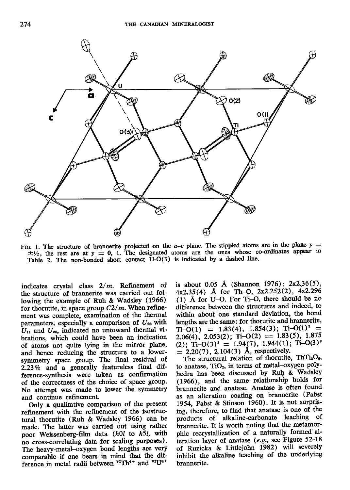

FIG. 1. The structure of brannerite projected on the  $a-c$  plane. The stippled atoms are in the plane  $y =$  $\pm$ 1/2, the rest are at y = 0, 1. The designated atoms are the ones whose co-ordinates appear in Table 2. The non-bonded short contact U-O(3) is indicated by a dashed line.

indicates crystal class  $2/m$ . Refinement of the structure of brannerite was carried out following the example of Ruh & Wadsley (1966) for thorutite, in space group  $C2/m$ . When refinement was complete, examination of the thermal parameters, especially a comparison of  $U_{22}$  with  $U_{11}$  and  $U_{33}$ , indicated no untoward thermal vibrations, which could have been an indication of atoms not quite lying in the mirror plane' and hence reducing the structure to a lowersymmetry space group. The final residual of  $2.23\%$  and a generally featureless final difference-synthesis were taken as confirmation of the correctness of the choice of space group. No attempt was made to lower the symmetry and continue refinement.

Only a qualitative comparison of the present refinement with the refinement of the isostructural thorutite (Ruh & Wadsley 1966) can be made. The latter was carried out using rather poor Weissenberg-film data (h0l to h5l, with no cross-correlating data for scaling purposes). The heavy-metal-oxygen bond lengths are very comparabie if one bears in mind that the dif' ference in metal radii between  ${}^{vr}Th^{4+}$  and  ${}^{vt}U^{4+}$ 

is about 0.05 Å (Shannon 1976):  $2x2.36(5)$ ,  $4x2.35(4)$  Å for Th-O,  $2x2.252(2)$ ,  $4x2.296$ (l) A for U-O. For Ti-O, there should be no difference between the structures and indeed, to within about one standard deviation, the bond lengths are the same: for thorutite and brannerite,  $Ti-O(1) = 1.83(4), 1.854(3); Ti-O(1)<sup>7</sup> =$ 2.06(4), 2.053(2); Ti-O(2) = 1.83(5), 1.875 (2); Ti-O(3)<sup>s</sup> = 1.94(7), 1.944(1); Ti-O(3)<sup>s</sup>  $= 2.20(7)$ , 2.104(3) Å, respectively.

The structural relation of thorutite,  $T h Ti<sub>2</sub>O<sub>6</sub>$ , to anatase,  $TiO<sub>2</sub>$ , in terms of metal-oxygen polyhedra has been discussed by Ruh & Wadsley (L966), and the same relationship holds for brannerite and anatase. Anatase is often found as an alteration coating on brannerite (Pabst 1954, Pabst & Stinson 1960). It is not surprising, iherefore, to find that anatase is one of the products of alkaline-carbonate leaching of brannerite. It is worth noting that the metamorphic recrystallization of a naturally formed'al' teration layer of anatase (e.g., see Figure  $52-18$ of Ruzicka & Littlejohn 1982) will severely inhibit the alkaline leaching of the underlying brannerite.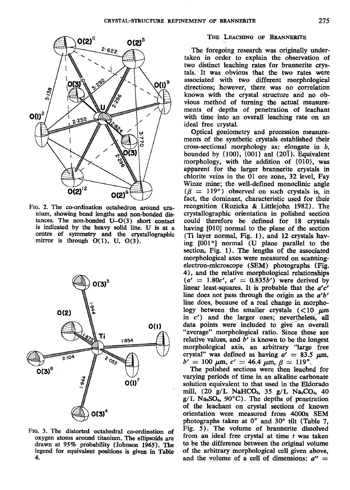

FIG. 2. The co-ordination octahedron around uranium, showing bond lengths and non-bonded distances. The non-bonded U-O(3) short contact is indicated by the heavy solid line. U is at a centre of symmetry and the crystallographic mirror is through  $O(1)$ , U,  $O(3)$ .



FIG. 3. The distorted octahedral co-ordination of oxygen atoms around titanium. The ellipsoids are drawn at 95% probability (Johnson 1965). The legend for equivalent positions is given in Table 4.

### THE LEACHING OF BRANNERITE

The foregoing research was originally undertaken in order to explain the observation of two distinct leaching rates for brannerite crystals. It was obvious that the two rates were associated with two different morphological directions; however, there was no correlation known with the crystal structure and no obvious method of turning the actual measurements of depths of penetration of leachant with time into an overall leaching rate on an ideal free crystal.

Optical goniometry and precession measurements of the synthetic crystals established their cross-sectional morphology as: elongate in  $b$ , bounded by  $\{100\}$ ,  $\{001\}$  anl  $\{20\overline{1}\}$ . Equivalent morphology, with the addition of {010}, was apparent for the larger brannerite crystals in chlorite veins in the O1 ore zone, 32 level, Fay Winze mine; the well-defined monoclinic angle  $(\beta = 119^{\circ})$  observed on such crystals is, in fact, the dominant, characteristic used for their recognition (Ruzicka & Littlejohn 1982). The crystallographic orientation in polished section could therefore be defined for 18 crystals having [O10] normal to the plane of the section (Ti layer normal, Fig. 1), and 12 crystals having  $[001*]$  normal  $(U)$  plane parallel to the section, Fig. 1). The lengths of the associated morphological axes were measured on scanningelectron-microscope (SEM) photographs (Fig. 4), and the relative morphological relationships  $(a' = 1.80c', a' = 0.835b')$  were derived by linear least-squares. It is probable that the  $a'c'$ line does not pass through the origin as the  $a'b'$ line does, because of a real change in morphology between the smaller crystals  $(<10 \mu m$ in  $c'$ ) and the larger ones; nevertheless, all data points were included to give an overall "average" morphological ratio. Since these are relative values, and  $b'$  is known to be the longest morphological axis, an arbitrary "large free crystal" was defined as having  $a' = 83.5 \mu \text{m}$ ,  $b' = 100 \mu \text{m}, c' = 46.4 \mu \text{m}, \beta = 119^{\circ}.$ 

The polished sections were then leached for varying periods of time in an alkaline carbonate solution equivalent to that used in the Eldorado mill,  $(20 \text{ g/L } \text{NaHCO}_3, 35 \text{ g/L } \text{Na}_2\text{CO}_3, 40$  $g/L$  Na<sub>2</sub>SO<sub>4</sub>, 90°C). The depths of penetration of the leachant on crystal sections of known orientation were measured from 4000x SEM photographs taken at O" and 30' tilt (Table 7, Fig. 5). The volume of brannerite dissolved from an ideal free crystal at time  $t$  was taken to be the difference between the original volume of the arbitrary morphological cell given above, and the volume of a cell of dimensions:  $a'' =$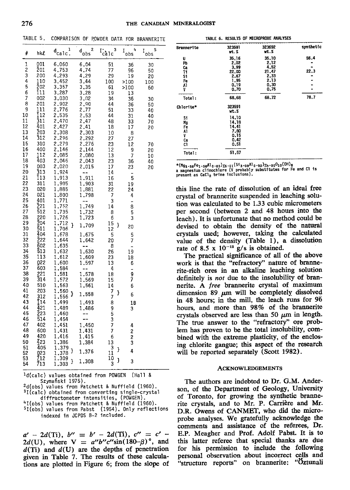TABLE 5. COMPARISON OF POWDER DATA FOR BRANNERITE

| ⋕              | hkl                     | ı<br>$d_{\text{calc.}}$ | 2<br>$\mathbf{d}_{\mathbf{obs}}$ | з<br>$\Gamma_{\text{calc}}$ | 4<br>$I_{obs}$ | 5<br>I<br>obs |
|----------------|-------------------------|-------------------------|----------------------------------|-----------------------------|----------------|---------------|
| 1              | 001                     | 6,060                   | 6.04                             | 51                          | 36             | 30            |
| $\overline{2}$ | 201                     | 4.753                   | 4.74                             | 77                          | 96             | 50            |
| 3<br>4         | 200<br>110              | 4.293<br>3.452          | 4.29<br>3.44                     | 29<br>100                   | 19             | 20            |
| 5              | 202                     | 3.357                   | 3,35                             | 61                          | >100<br>>100   | 100<br>60     |
| 6              | ī11                     | 3.287                   | 3.28                             | 19                          | 13             |               |
| 7              | 002                     | 3,030                   | 3,02                             | 34                          | 36             | 30            |
| 8              | 201                     | 2.902                   | 2.90                             | 44                          | 36             | 50            |
| 9              | $\overline{111}$<br>Ī12 | 2.776                   | 2.77                             | 51                          | 33             | 40            |
| 10<br>11       | 311                     | 2.535<br>2,470          | 2.53<br>2.47                     | 44<br>48                    | 31<br>33       | 40<br>70      |
| 12             | 401                     | 2.427                   | 2.41                             | 18                          | 17             | 20            |
| 13             | 203                     | 2.308                   | 2.303                            | 10                          | 8              |               |
| 14             | 312                     | 2.296                   | 2.292                            | 27                          | 27             |               |
| 15             | 310                     | 2.279                   | 2.276                            | 23                          | 12             | 70            |
| 16<br>17       | 400<br>112              | 2.146<br>2,085          | 2.144<br>2,080                   | 12<br>13                    | 9              | 20            |
| 18             | 403                     | 2.046                   | 2.043                            | 23                          | 7<br>36        | 10<br>40      |
| 19             | 003                     | 2,020                   | 2,015                            | 17                          | 23             | 20            |
| 20             | 313                     | 1.924                   | --                               | 14                          |                |               |
| 21             | ī13                     | 1.913                   | 1.911                            | 16                          | 5              |               |
| 22             | 311                     | 1.905                   | 1,903                            | 31                          | 19             |               |
| 23<br>24       | 020<br>021              | 1,885<br>1.800          | 1.881<br>1.798                   | 22<br>7                     | 24<br>4        |               |
| 25             | 401                     | 1,771                   | --                               | 3                           |                |               |
| 26             | 221<br>512              | 1,752                   | 1,749                            | 14                          | 8              |               |
| 27             |                         | 1.735                   | 1.732                            | 8                           | 5              |               |
| 28             | 220                     | .726<br>1               | 1,723                            | б                           | 3              |               |
| 29<br>30       | 204<br>511              | 1<br>.712<br>ŀ<br>1,706 | 1.709                            | 15<br>}<br>12               | 20             |               |
| 31             | 404                     | 1<br>.678               | 1.675                            | 5                           | 5              |               |
| 32             | 222                     | 1.644                   | 1.642                            | 20                          | 7              |               |
| 33             | 602                     | 1.635                   | --<br>$\bar{z}$                  | 8                           |                |               |
| 34<br>35       | 513                     | 1.632                   | 1.630                            | 26                          | 19             |               |
| 36             | 113<br>022              | 1,612<br>1,600          | 1.609<br>1.597                   | 23<br>13                    | 18<br>6        |               |
| 37             | 603                     | 1,584                   | $\overline{\phantom{a}}$         | 4                           | -              |               |
| 38             | 221                     | .581<br>1               | 1.578                            | 18                          | 9<br>7         |               |
| 39             | 314                     | 1.572<br>1.563          | 1,569                            | 15                          |                |               |
| 40<br>41       | 510<br>203              |                         | 1,561                            | 14                          | 6              |               |
| 42             | 312                     | .560<br>1<br>J<br>1,556 | 1.558                            | 7<br>}<br>7                 | 6              |               |
| 43             | Ì14                     | 1.499                   | 1.493                            | 8                           | 1 B            |               |
| 44             | 421                     | 1<br>.489               | 1.486                            | 9                           | 3              |               |
| 45             | 223                     | 1,460                   |                                  | 5<br>3                      |                |               |
| 46<br>47       | 514<br>402              | 1.454<br>.451           |                                  |                             |                |               |
| 48             | 600                     | 1<br>1.431              | 1.450<br>1.431                   | 7<br>7                      | 4              |               |
| 49             | 420                     | 1.416                   | 1,415                            | 6                           | $\frac{2}{2}$  |               |
| 50             | 423                     | .386<br>1               | 1.384                            | 13                          | 3              |               |
| 51             | 405                     | .379<br>1<br>J          | 1.376                            | $\overline{3}$<br>}         | 4              |               |
| 52<br>53       | 023<br>712              | .378<br>1<br>.309<br>1  |                                  | 11<br>10                    |                |               |
| 54             | 713                     | J<br>1.303              | 1.308                            | J<br>3                      | 3              |               |
|                |                         |                         |                                  |                             |                |               |

<sup>1</sup>d(calc) values obtained from POWGEN (Hall & Szymański 1975).

<sup>2</sup>d(obs) values from Patchett & Nuffield (1960). <sup>3</sup>I(calc) obtained from converting single-crystal diffractometer intensities, (POWGEN). <sup>4</sup>I(obs) values from Patchett & Nuffield (1960).

 $51(obs)$  values from Pabst (1954). Only reflections indexed in JCPDS 8-2 included.

 $a' - 2d(Ti), b'' = b' - 2d(Ti), c'' = c' 2d(U)$ , where  $V = a''b''c''\sin(180-\beta)$ °, and  $d(Ti)$  and  $d(U)$  are the depths of penetration given in Table 7. The results of these calculations are plotted in Figure 6; from the slope of

|                                             | IABLE O. RESULIS UP MICROPRODE MUNLISES                        |                                                                |              |
|---------------------------------------------|----------------------------------------------------------------|----------------------------------------------------------------|--------------|
| <b>Brannerite</b>                           | 323591<br>wt.%                                                 | 323692<br>wt.%                                                 | synthetic    |
| U<br>Pb<br>Ca<br>Tł<br>\$1<br>Fe<br>Al<br>٧ | 35,16<br>2,02<br>3.99<br>22.00<br>2.67<br>1.95<br>0.19<br>0.70 | 35.10<br>2,12<br>4.52<br>21,47<br>2,33<br>2.13<br>0.30<br>0.75 | 56.4<br>22,3 |
| Total:                                      | 68,68                                                          | 68.72                                                          | 78.7         |
| Chlorite*                                   | 323591<br>wt.%                                                 |                                                                |              |
| S1<br>Mg<br>Fe<br>A1<br>٧<br>Ca<br>C1       | 14,10<br>14,18<br>14.41<br>7.80<br>0.15<br>0.42<br>0.51        |                                                                |              |
| Total :                                     | 51.57                                                          |                                                                |              |
|                                             |                                                                |                                                                |              |

WALLET BEAUTY OF MECHANICAL AUSTROLOGY

\*(Mg<sub>3·58</sub>Fe<sub>1·58</sub>Al<sub>0·85</sub>)<sub>X6·01</sub>(Si<sub>3·08</sub>Al<sub>0·92</sub>)<sub>X4</sub>·<sub>00</sub>0<sub>10</sub>(OH)<sub>8</sub><br>a magnesium clinochlore (V probably substitutes for Fe and Cl is<br>present as CaCl<sub>2</sub> brine inclusions).

this line the rate of dissolution of an ideal free crystal of brannerite suspended in leaching solution was calculated to be 1.33 cubic micrometers per second (between 2 and 48 hours into the leach). It is unfortunate that no method could be devised to obtain the density of the natural crystals used; however, taking the calculated value of the density (Table 1), a dissolution rate of 8.5 x  $10^{-12}$  g/s is obtained.

The practical significance of all of the above work is that the "refractory" nature of brannerite-rich ores in an alkaline leaching solution definitely is not due to the insolubility of brannerite. A free brannerite crystal of maximum dimension 89  $\mu$ m will be completely dissolved in 48 hours; in the mill, the leach runs for 96 hours, and more than 98% of the brannerite crystals observed are less than 50  $\mu$ m in length. The true answer to the "refractory" ore problem has proven to be the total insolubility, combined with the extreme plasticity, of the enclosing chlorite gangue; this aspect of the research will be reported separately (Scott 1982).

#### **ACKNOWLEDGEMENTS**

The authors are indebted to Dr. G.M. Anderson, of the Department of Geology, University of Toronto, for growing the synthetic brannerite crystals, and to Mr. P. Carrière and Mr. D.R. Owens of CANMET, who did the microprobe analyses. We gratefully acknowledge the comments and assistance of the referees, Dr. E.P. Meagher and Prof. Adolf Pabst. It is to this latter referee that special thanks are due for his permission to include the following personal observation about incorrect cells and "structure reports" on brannerite: "Öztunali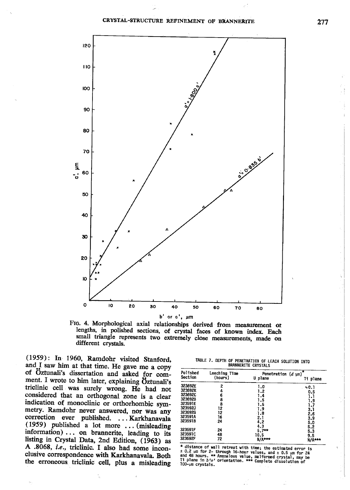

FIG. 4. Morphological axial relationships derived from measurement or lengths, in polished sections, of crystal faces of known index. Each small triangle represents two extremely close measurements, made on different crystals.

(1959): In 1960, Ramdohr visited Stanford, and I saw him at that time. He gave me a copy of Öztunali's dissertation and asked for comment. I wrote to him later, explaining Öztunali's triclinic cell was surely wrong. He had not considered that an orthogonal zone is a clear indication of monoclinic or orthorhombic symmetry. Ramdohr never answered, nor was any correction ever published. ... Karkhanavala (1959) published a lot more ... (misleading information) ... on brannerite, leading to its listing in Crystal Data, 2nd Edition, (1963) as A .8068, i.e., triclinic. I also had some inconclusive correspondence with Karkhanavala. Both the erroneous triclinic cell, plus a misleading

|  |  | <b>BRANNERITE CRYSTALS</b> |  | TABLE 7. DEPTH OF PENETRATION OF LEACH SOLUTION INTO |  |
|--|--|----------------------------|--|------------------------------------------------------|--|
|  |  |                            |  |                                                      |  |

| Polished<br>Section | Leaching Time<br>(hours) | Penetration $(d \text{ nm})$<br>U plane | ×<br>Ti plane |
|---------------------|--------------------------|-----------------------------------------|---------------|
| 323692E             | 2                        | 1.0                                     | 0.1           |
| 323692K             | 4                        | 1.2                                     | 0.5           |
| 323692C             |                          | 1.4                                     | 1.1           |
| 323692B             | 6<br>8                   | 1.5                                     | 1.9           |
| 323591E             | 8                        | 1,5                                     | 1.7           |
| 323592J             | 12                       | $1.9 -$                                 | 3.1           |
| 323692G             | 12                       | $-1.8$                                  | 2.6           |
| 323591A             | 16                       | 2,1                                     | 3.9           |
| 323591B             | $-24$                    | 4.2                                     | 5.0           |
|                     |                          | 4.3                                     | 5.2           |
| 323591F             | 24                       | $5.7**$                                 | 5.3           |
| 323591C             | 48                       | 10.5                                    | 9.5           |
| 323692F             | 72                       | N/A***                                  | <b>N/A***</b> |

\* distance of wall retreat with time; the estimated error is  $0.2 \mu m$  for 2- through 16-hour values, and  $\pm 0.5 \mu m$  for 24 and 48 hours. \*\* Anomalous value, malformed crystal, may be II plane in  $b'o'$  orientation. \*\*\* C 100-um crystals.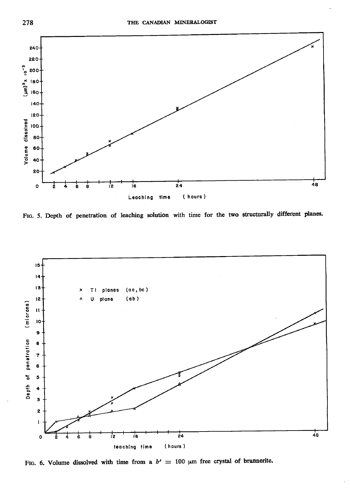

FIG. 5. Depth of penetration of leaching solution with time for the two structurally different planes.



FIG. 6. Volume dissolved with time from a  $b' = 100 \mu m$  free crystal of brannerite.

278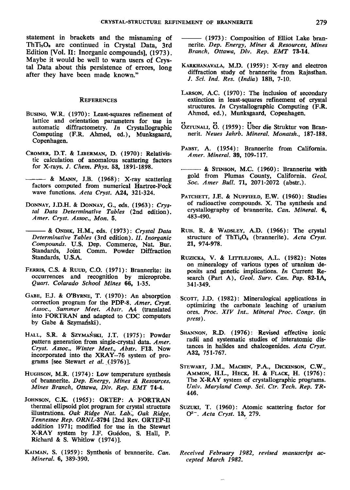statement in brackets and the misnaming of ThTi:Oe are continued in Crystal Data, 3rd Edition [Vol. II: Inorganic compounds], (1973), Maybe it would be well to warn users of Crystal Data about this persistence of errors, long after they have been made known."

#### REFERENcEs

- BusINc, W.R. (1970): Least-squares refinement of lattice and orientation parameters for use in automatic diffractometry. In Crystallographic Computing (F.R. Ahmed, ed.), Munksgaard, Copenhagen.
- CROMER, D.T. & LIBERMAN, D. (1970): Relativistic calculation of anomalous scattering factors for X-rays. I. Chem. Phys. 53, 1891-1898.
- & MANN, J.B. (1958): X-ray scattering factors computed from numerical Hartree-Fock wave functions. Acta Cryst. A24, 32I-324.
- DONNAY, J.D.H. & DONNAY, G., eds. (1963): Crystal Data Determinative Tables (2nd edition). Amer. Cryst. Assoc., Mon. 6.
- & ONDIK, H.M., eds. (1973): Crystal Data Determinative Tables (3rd edition). II. Inorganic Compounds. U.S. Dep. Commerce, Nat. Bur. Standards, Joint Comm. Powder Diffraction Standards. U.S.A.
- FERRIS, C.S. & RUUD, C.O. (1971): Brannerite: its occurrences and recognition by microprobe. Quart. Colarado School Mines 66, 1-35.
- GABE, E.J. & O'BYRNE, T. (1970): An absorption correction program for the PDP-8. Amer. Cryst. Assoc., Summer Meet. Abstr. A4 (translated into FORTRAN aad adapted to CDC computers by Gabe & Szymański).
- HALL, S.R. & SZYMAŃSKI, J.T. (1975): Powder pattern generation from single-crystal data. Amer. Cryst. Assoc., Winter Meet,, Abstr. F13. Now incorporated into the XRAY-76 system of programs [see Stewart et al. (1976)].
- HUGHSON, M.R. (1974): Low temperature synthesis of brannerite. Dep, Energy, Mines & Resources, Mines Branch, Ottawa, Div. Rep. EMT 74-4.
- JOHNSON, C.K. (1965): ORTEP: A FORTRAN thermal ellipsoid plot program for crystal structure illustrations. Oak Ridge Nat. Lab., Oak Ridge, Tennessee Rep. ORNL-3794 [2nd Rev. ORTEP-II addition 1971; modified for use in the Stewart X-RAY system by J.F. Gu6don, S. Hall, P. Richard & S. Whitlow (1974)1.
- KAIMAN, S. (1959): Synthesis of brannerite. Can. Mineral.6, 389-390.
- (1973): Composition of Elliot Lake brannerite. Dep. Energy, Mines & Resources, Mines Branch, Ottawa, Div. Rep. EMT 78-14.
- KARKHANAVALA, M.D. (1959): X-ray and electron diffraction study of brannerite from Rajasthan. l. Sci. Ind. Res. (India) 188, 7-10.
- LARsoN, A.C. (1970): The inclusion of secondary extinction in least-squares refinement of crystal structures. In Crystallographic Computing  $(F.R.$ Ahmed, ed.), Munksgaard, Copenhagen.
- ÖZTUNALI, Ö. (1959): Über die Struktur von Brannerit. Neues Jahrb. Mineral. Monatsh., 187-188.
- PABST, A. (1954): Brannerite from California. Amer, Mineral. 39, 109-117.
- & SrnsoN, M.C. (1960): Brannerite with gold from Plumas County, California. Geol. Soc. Amer Bull. 71, 207l-2072 (abstr.).
- PATCHETT, J.E. & NUFFIELD, E.W. (1960): Studies of radioactive compounds. X. The synthesis and crystallography of brannerite. Can. Mineral. 6, 483490.
- RUH, R. & WADSLEY, A.D. (1966): The crystal structure of ThTi<sub>2</sub>O<sub>6</sub> (brannerite). Acta Cryst. 2r, 974-978.
- RUZICKA, V. & LITTLEJOHN, A.L. (1982): Notes on mineralogy of various types of uranium deposits and genetic implications. In Current Research (Part A), Geol. Surv. Can. Pap. 82-1A, 34t-349.
- SCOTT, J.D. (1982): Mineralogical applications in optimizing the carbonate leaching of uranium ores. Proc. XIV Int.. Mineral Proc, Congr. (im press).
- SHANNON, R.D. (1976): Revised effective ionic radii and systematic studies of interatomic distances in halides and chalcogenides. Acta Cryst. A32, 751-767.
- STEWART, J.M., MACHIN, P.A., DICKINSON, C.W., AMMON, H.L., HECK, H. & FLACK, H. (1976): The X-RAY system of crystallographic programs. Univ. Maryland Comp. Sci. Ctr, Tech. Rep. TR-446.
- SUZUKI, T. (1960): Atomic scattering factor for  $Q^{2-}$ . Acta Cryst. 13, 279.
- Received February 1982, revised manuscript accepted March 1982.